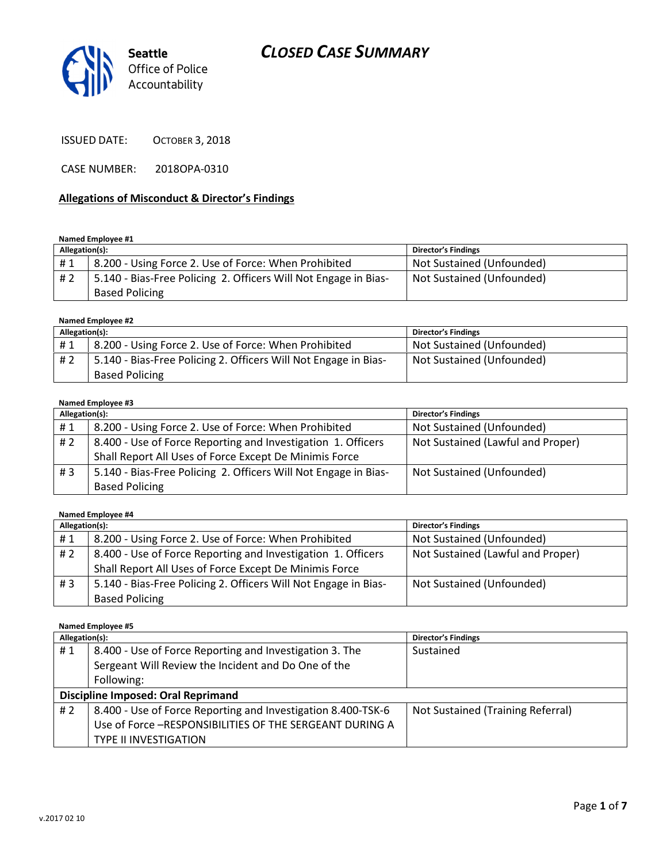# CLOSED CASE SUMMARY



ISSUED DATE: OCTOBER 3, 2018

CASE NUMBER: 2018OPA-0310

#### Allegations of Misconduct & Director's Findings

#### Named Employee #1

| Allegation(s): |                                                                 | <b>Director's Findings</b> |
|----------------|-----------------------------------------------------------------|----------------------------|
| #1             | 8.200 - Using Force 2. Use of Force: When Prohibited            | Not Sustained (Unfounded)  |
| #2             | 5.140 - Bias-Free Policing 2. Officers Will Not Engage in Bias- | Not Sustained (Unfounded)  |
|                | <b>Based Policing</b>                                           |                            |

#### Named Employee #2

| Allegation(s): |                                                                 | <b>Director's Findings</b> |
|----------------|-----------------------------------------------------------------|----------------------------|
| #1             | 8.200 - Using Force 2. Use of Force: When Prohibited            | Not Sustained (Unfounded)  |
| # 2            | 5.140 - Bias-Free Policing 2. Officers Will Not Engage in Bias- | Not Sustained (Unfounded)  |
|                | <b>Based Policing</b>                                           |                            |

#### Named Employee #3

| Allegation(s): |                                                                 | <b>Director's Findings</b>        |
|----------------|-----------------------------------------------------------------|-----------------------------------|
| #1             | 8.200 - Using Force 2. Use of Force: When Prohibited            | Not Sustained (Unfounded)         |
| # 2            | 8.400 - Use of Force Reporting and Investigation 1. Officers    | Not Sustained (Lawful and Proper) |
|                | Shall Report All Uses of Force Except De Minimis Force          |                                   |
| #3             | 5.140 - Bias-Free Policing 2. Officers Will Not Engage in Bias- | Not Sustained (Unfounded)         |
|                | <b>Based Policing</b>                                           |                                   |

#### Named Employee #4

| Allegation(s): |                                                                 | <b>Director's Findings</b>        |
|----------------|-----------------------------------------------------------------|-----------------------------------|
| #1             | 8.200 - Using Force 2. Use of Force: When Prohibited            | Not Sustained (Unfounded)         |
| # 2            | 8.400 - Use of Force Reporting and Investigation 1. Officers    | Not Sustained (Lawful and Proper) |
|                | Shall Report All Uses of Force Except De Minimis Force          |                                   |
| # $3$          | 5.140 - Bias-Free Policing 2. Officers Will Not Engage in Bias- | Not Sustained (Unfounded)         |
|                | <b>Based Policing</b>                                           |                                   |

#### Named Employee #5

| Allegation(s):                            |                                                              | <b>Director's Findings</b>        |
|-------------------------------------------|--------------------------------------------------------------|-----------------------------------|
| #1                                        | 8.400 - Use of Force Reporting and Investigation 3. The      | Sustained                         |
|                                           | Sergeant Will Review the Incident and Do One of the          |                                   |
|                                           | Following:                                                   |                                   |
| <b>Discipline Imposed: Oral Reprimand</b> |                                                              |                                   |
| #2                                        | 8.400 - Use of Force Reporting and Investigation 8.400-TSK-6 | Not Sustained (Training Referral) |
|                                           | Use of Force -RESPONSIBILITIES OF THE SERGEANT DURING A      |                                   |
|                                           | <b>TYPE II INVESTIGATION</b>                                 |                                   |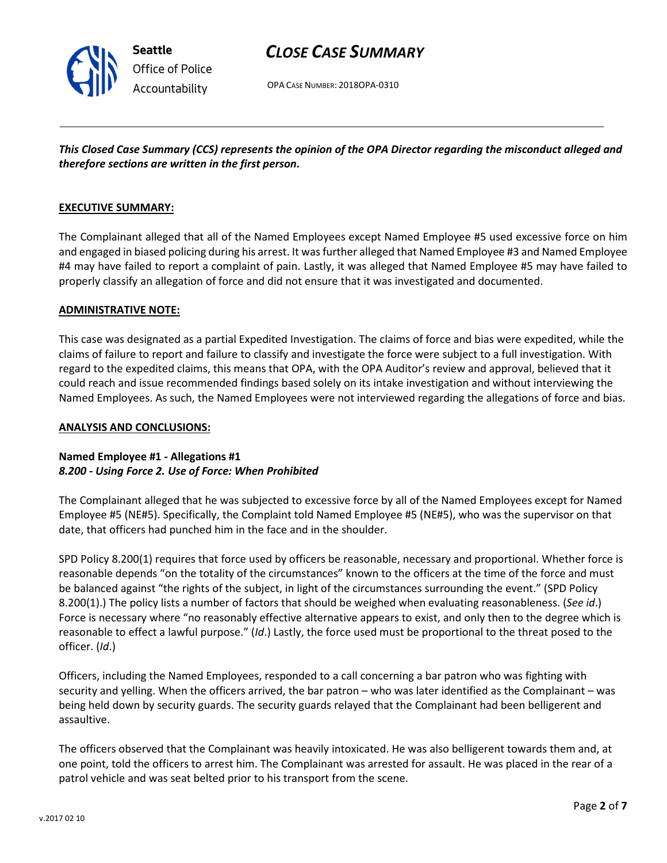

OPA CASE NUMBER: 2018OPA-0310

This Closed Case Summary (CCS) represents the opinion of the OPA Director regarding the misconduct alleged and therefore sections are written in the first person.

#### EXECUTIVE SUMMARY:

Seattle

Office of Police Accountability

The Complainant alleged that all of the Named Employees except Named Employee #5 used excessive force on him and engaged in biased policing during his arrest. It was further alleged that Named Employee #3 and Named Employee #4 may have failed to report a complaint of pain. Lastly, it was alleged that Named Employee #5 may have failed to properly classify an allegation of force and did not ensure that it was investigated and documented.

#### ADMINISTRATIVE NOTE:

This case was designated as a partial Expedited Investigation. The claims of force and bias were expedited, while the claims of failure to report and failure to classify and investigate the force were subject to a full investigation. With regard to the expedited claims, this means that OPA, with the OPA Auditor's review and approval, believed that it could reach and issue recommended findings based solely on its intake investigation and without interviewing the Named Employees. As such, the Named Employees were not interviewed regarding the allegations of force and bias.

#### ANALYSIS AND CONCLUSIONS:

#### Named Employee #1 - Allegations #1 8.200 - Using Force 2. Use of Force: When Prohibited

The Complainant alleged that he was subjected to excessive force by all of the Named Employees except for Named Employee #5 (NE#5). Specifically, the Complaint told Named Employee #5 (NE#5), who was the supervisor on that date, that officers had punched him in the face and in the shoulder.

SPD Policy 8.200(1) requires that force used by officers be reasonable, necessary and proportional. Whether force is reasonable depends "on the totality of the circumstances" known to the officers at the time of the force and must be balanced against "the rights of the subject, in light of the circumstances surrounding the event." (SPD Policy 8.200(1).) The policy lists a number of factors that should be weighed when evaluating reasonableness. (See id.) Force is necessary where "no reasonably effective alternative appears to exist, and only then to the degree which is reasonable to effect a lawful purpose." (Id.) Lastly, the force used must be proportional to the threat posed to the officer. (Id.)

Officers, including the Named Employees, responded to a call concerning a bar patron who was fighting with security and yelling. When the officers arrived, the bar patron – who was later identified as the Complainant – was being held down by security guards. The security guards relayed that the Complainant had been belligerent and assaultive.

The officers observed that the Complainant was heavily intoxicated. He was also belligerent towards them and, at one point, told the officers to arrest him. The Complainant was arrested for assault. He was placed in the rear of a patrol vehicle and was seat belted prior to his transport from the scene.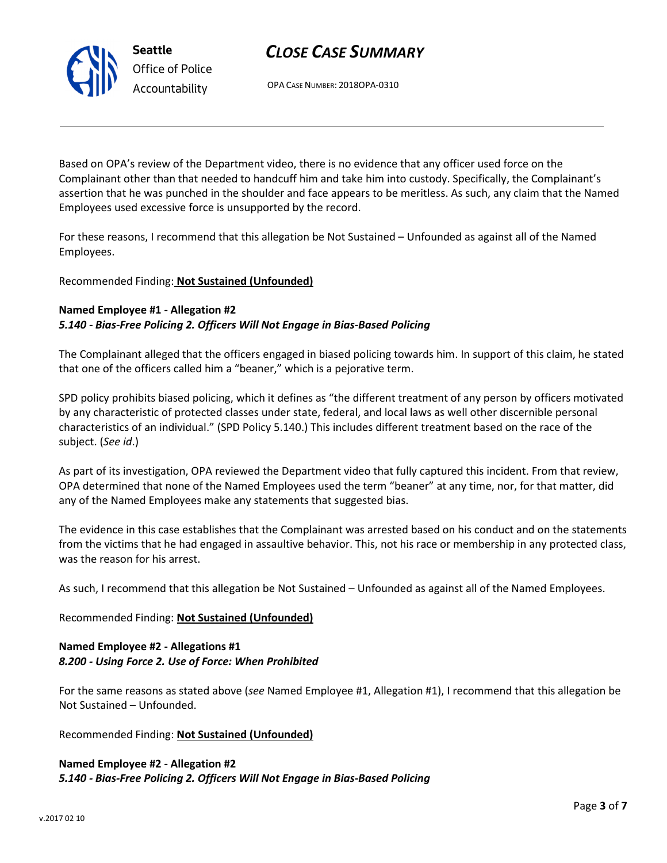# CLOSE CASE SUMMARY

OPA CASE NUMBER: 2018OPA-0310

Based on OPA's review of the Department video, there is no evidence that any officer used force on the Complainant other than that needed to handcuff him and take him into custody. Specifically, the Complainant's assertion that he was punched in the shoulder and face appears to be meritless. As such, any claim that the Named Employees used excessive force is unsupported by the record.

For these reasons, I recommend that this allegation be Not Sustained – Unfounded as against all of the Named Employees.

#### Recommended Finding: Not Sustained (Unfounded)

#### Named Employee #1 - Allegation #2 5.140 - Bias-Free Policing 2. Officers Will Not Engage in Bias-Based Policing

The Complainant alleged that the officers engaged in biased policing towards him. In support of this claim, he stated that one of the officers called him a "beaner," which is a pejorative term.

SPD policy prohibits biased policing, which it defines as "the different treatment of any person by officers motivated by any characteristic of protected classes under state, federal, and local laws as well other discernible personal characteristics of an individual." (SPD Policy 5.140.) This includes different treatment based on the race of the subject. (See id.)

As part of its investigation, OPA reviewed the Department video that fully captured this incident. From that review, OPA determined that none of the Named Employees used the term "beaner" at any time, nor, for that matter, did any of the Named Employees make any statements that suggested bias.

The evidence in this case establishes that the Complainant was arrested based on his conduct and on the statements from the victims that he had engaged in assaultive behavior. This, not his race or membership in any protected class, was the reason for his arrest.

As such, I recommend that this allegation be Not Sustained – Unfounded as against all of the Named Employees.

Recommended Finding: Not Sustained (Unfounded)

#### Named Employee #2 - Allegations #1 8.200 - Using Force 2. Use of Force: When Prohibited

For the same reasons as stated above (see Named Employee #1, Allegation #1), I recommend that this allegation be Not Sustained – Unfounded.

Recommended Finding: Not Sustained (Unfounded)

Named Employee #2 - Allegation #2 5.140 - Bias-Free Policing 2. Officers Will Not Engage in Bias-Based Policing



Seattle Office of Police Accountability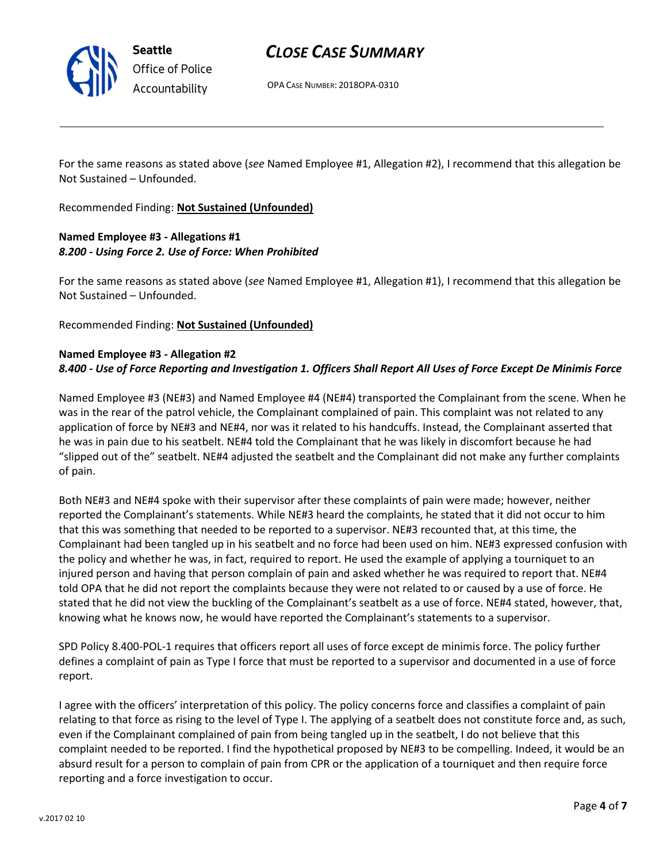

Seattle Office of Police Accountability

# CLOSE CASE SUMMARY

OPA CASE NUMBER: 2018OPA-0310

For the same reasons as stated above (see Named Employee #1, Allegation #2), I recommend that this allegation be Not Sustained – Unfounded.

Recommended Finding: Not Sustained (Unfounded)

## Named Employee #3 - Allegations #1 8.200 - Using Force 2. Use of Force: When Prohibited

For the same reasons as stated above (see Named Employee #1, Allegation #1), I recommend that this allegation be Not Sustained – Unfounded.

Recommended Finding: Not Sustained (Unfounded)

#### Named Employee #3 - Allegation #2 8.400 - Use of Force Reporting and Investigation 1. Officers Shall Report All Uses of Force Except De Minimis Force

Named Employee #3 (NE#3) and Named Employee #4 (NE#4) transported the Complainant from the scene. When he was in the rear of the patrol vehicle, the Complainant complained of pain. This complaint was not related to any application of force by NE#3 and NE#4, nor was it related to his handcuffs. Instead, the Complainant asserted that he was in pain due to his seatbelt. NE#4 told the Complainant that he was likely in discomfort because he had "slipped out of the" seatbelt. NE#4 adjusted the seatbelt and the Complainant did not make any further complaints of pain.

Both NE#3 and NE#4 spoke with their supervisor after these complaints of pain were made; however, neither reported the Complainant's statements. While NE#3 heard the complaints, he stated that it did not occur to him that this was something that needed to be reported to a supervisor. NE#3 recounted that, at this time, the Complainant had been tangled up in his seatbelt and no force had been used on him. NE#3 expressed confusion with the policy and whether he was, in fact, required to report. He used the example of applying a tourniquet to an injured person and having that person complain of pain and asked whether he was required to report that. NE#4 told OPA that he did not report the complaints because they were not related to or caused by a use of force. He stated that he did not view the buckling of the Complainant's seatbelt as a use of force. NE#4 stated, however, that, knowing what he knows now, he would have reported the Complainant's statements to a supervisor.

SPD Policy 8.400-POL-1 requires that officers report all uses of force except de minimis force. The policy further defines a complaint of pain as Type I force that must be reported to a supervisor and documented in a use of force report.

I agree with the officers' interpretation of this policy. The policy concerns force and classifies a complaint of pain relating to that force as rising to the level of Type I. The applying of a seatbelt does not constitute force and, as such, even if the Complainant complained of pain from being tangled up in the seatbelt, I do not believe that this complaint needed to be reported. I find the hypothetical proposed by NE#3 to be compelling. Indeed, it would be an absurd result for a person to complain of pain from CPR or the application of a tourniquet and then require force reporting and a force investigation to occur.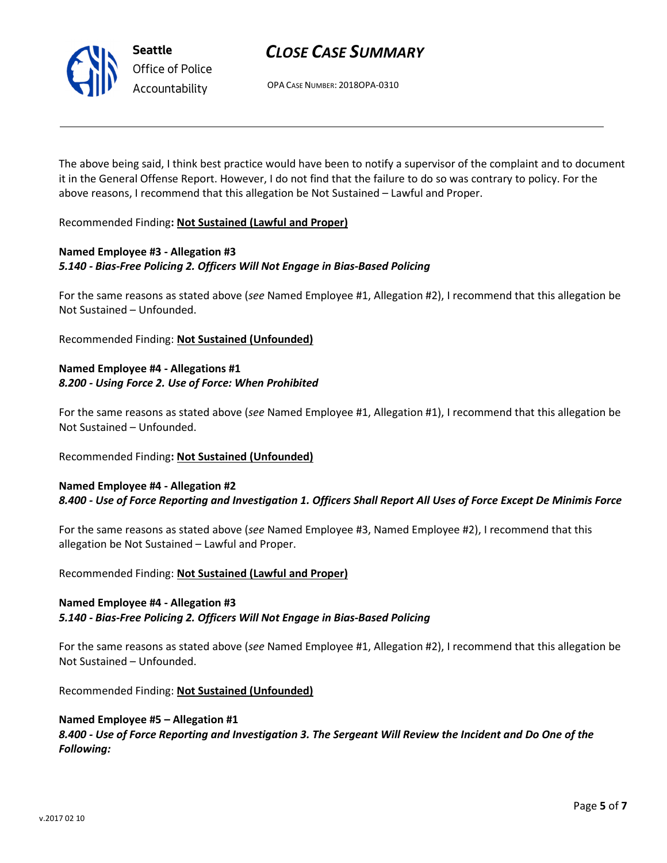

# CLOSE CASE SUMMARY

OPA CASE NUMBER: 2018OPA-0310

The above being said, I think best practice would have been to notify a supervisor of the complaint and to document it in the General Offense Report. However, I do not find that the failure to do so was contrary to policy. For the above reasons, I recommend that this allegation be Not Sustained – Lawful and Proper.

Recommended Finding: Not Sustained (Lawful and Proper)

## Named Employee #3 - Allegation #3 5.140 - Bias-Free Policing 2. Officers Will Not Engage in Bias-Based Policing

For the same reasons as stated above (see Named Employee #1, Allegation #2), I recommend that this allegation be Not Sustained – Unfounded.

Recommended Finding: Not Sustained (Unfounded)

# Named Employee #4 - Allegations #1 8.200 - Using Force 2. Use of Force: When Prohibited

For the same reasons as stated above (see Named Employee #1, Allegation #1), I recommend that this allegation be Not Sustained – Unfounded.

## Recommended Finding: Not Sustained (Unfounded)

## Named Employee #4 - Allegation #2 8.400 - Use of Force Reporting and Investigation 1. Officers Shall Report All Uses of Force Except De Minimis Force

For the same reasons as stated above (see Named Employee #3, Named Employee #2), I recommend that this allegation be Not Sustained – Lawful and Proper.

Recommended Finding: Not Sustained (Lawful and Proper)

## Named Employee #4 - Allegation #3

#### 5.140 - Bias-Free Policing 2. Officers Will Not Engage in Bias-Based Policing

For the same reasons as stated above (see Named Employee #1, Allegation #2), I recommend that this allegation be Not Sustained – Unfounded.

Recommended Finding: Not Sustained (Unfounded)

#### Named Employee #5 – Allegation #1

8.400 - Use of Force Reporting and Investigation 3. The Sergeant Will Review the Incident and Do One of the Following: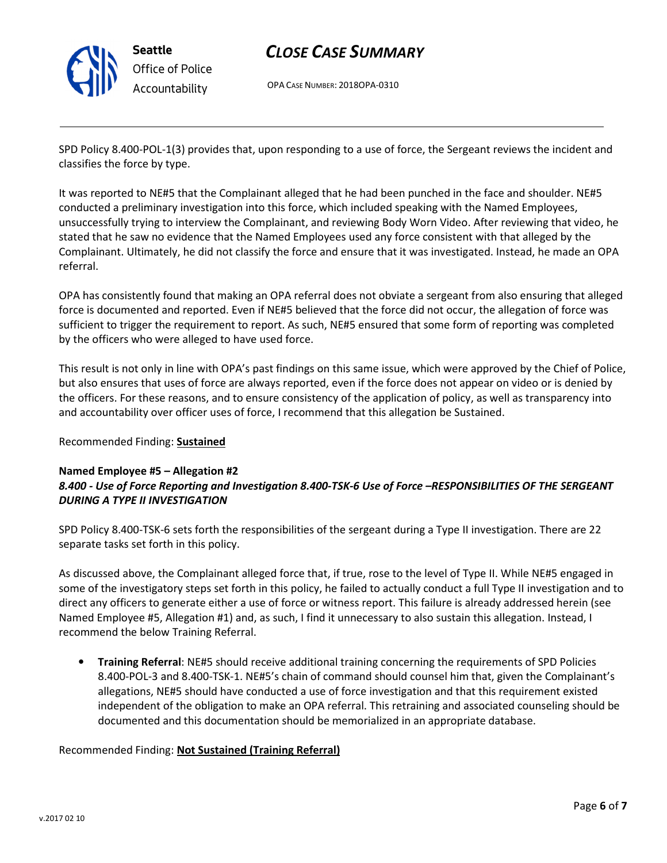

# Office of Police Accountability

# CLOSE CASE SUMMARY

OPA CASE NUMBER: 2018OPA-0310

SPD Policy 8.400-POL-1(3) provides that, upon responding to a use of force, the Sergeant reviews the incident and classifies the force by type.

It was reported to NE#5 that the Complainant alleged that he had been punched in the face and shoulder. NE#5 conducted a preliminary investigation into this force, which included speaking with the Named Employees, unsuccessfully trying to interview the Complainant, and reviewing Body Worn Video. After reviewing that video, he stated that he saw no evidence that the Named Employees used any force consistent with that alleged by the Complainant. Ultimately, he did not classify the force and ensure that it was investigated. Instead, he made an OPA referral.

OPA has consistently found that making an OPA referral does not obviate a sergeant from also ensuring that alleged force is documented and reported. Even if NE#5 believed that the force did not occur, the allegation of force was sufficient to trigger the requirement to report. As such, NE#5 ensured that some form of reporting was completed by the officers who were alleged to have used force.

This result is not only in line with OPA's past findings on this same issue, which were approved by the Chief of Police, but also ensures that uses of force are always reported, even if the force does not appear on video or is denied by the officers. For these reasons, and to ensure consistency of the application of policy, as well as transparency into and accountability over officer uses of force, I recommend that this allegation be Sustained.

## Recommended Finding: Sustained

#### Named Employee #5 – Allegation #2 8.400 - Use of Force Reporting and Investigation 8.400-TSK-6 Use of Force –RESPONSIBILITIES OF THE SERGEANT DURING A TYPE II INVESTIGATION

SPD Policy 8.400-TSK-6 sets forth the responsibilities of the sergeant during a Type II investigation. There are 22 separate tasks set forth in this policy.

As discussed above, the Complainant alleged force that, if true, rose to the level of Type II. While NE#5 engaged in some of the investigatory steps set forth in this policy, he failed to actually conduct a full Type II investigation and to direct any officers to generate either a use of force or witness report. This failure is already addressed herein (see Named Employee #5, Allegation #1) and, as such, I find it unnecessary to also sustain this allegation. Instead, I recommend the below Training Referral.

• Training Referral: NE#5 should receive additional training concerning the requirements of SPD Policies 8.400-POL-3 and 8.400-TSK-1. NE#5's chain of command should counsel him that, given the Complainant's allegations, NE#5 should have conducted a use of force investigation and that this requirement existed independent of the obligation to make an OPA referral. This retraining and associated counseling should be documented and this documentation should be memorialized in an appropriate database.

## Recommended Finding: Not Sustained (Training Referral)